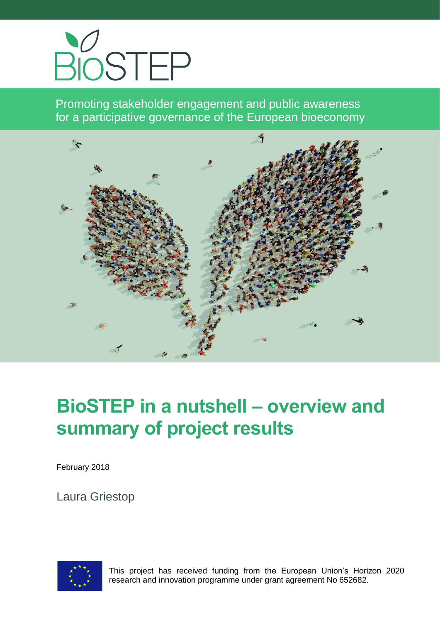

Promoting stakeholder engagement and public awareness for a participative governance of the European bioeconomy



# **BioSTEP in a nutshell – overview and summary of project results**

February 2018

Laura Griestop



This project has received funding from the European Union's Horizon 2020 research and innovation programme under grant agreement No 652682.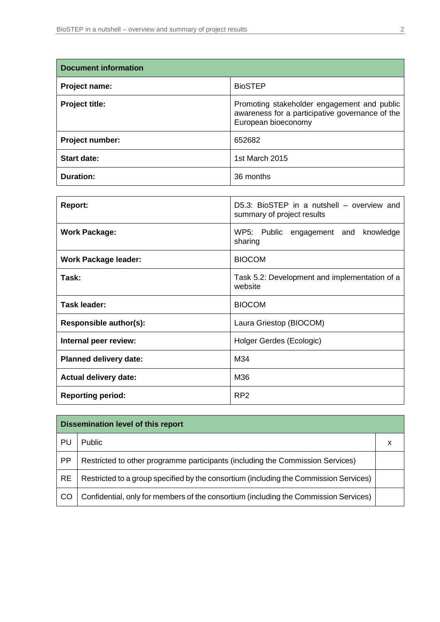| <b>Document information</b> |                                                                                                                       |  |
|-----------------------------|-----------------------------------------------------------------------------------------------------------------------|--|
| Project name:               | <b>BioSTEP</b>                                                                                                        |  |
| <b>Project title:</b>       | Promoting stakeholder engagement and public<br>awareness for a participative governance of the<br>European bioeconomy |  |
| Project number:             | 652682                                                                                                                |  |
| <b>Start date:</b>          | 1st March 2015                                                                                                        |  |
| Duration:                   | 36 months                                                                                                             |  |

| <b>Report:</b>                | D5.3: BioSTEP in a nutshell - overview and<br>summary of project results |
|-------------------------------|--------------------------------------------------------------------------|
| <b>Work Package:</b>          | WP5: Public engagement and<br>knowledge<br>sharing                       |
| <b>Work Package leader:</b>   | <b>BIOCOM</b>                                                            |
| Task:                         | Task 5.2: Development and implementation of a<br>website                 |
| Task leader:                  | <b>BIOCOM</b>                                                            |
| Responsible author(s):        | Laura Griestop (BIOCOM)                                                  |
| Internal peer review:         | Holger Gerdes (Ecologic)                                                 |
| <b>Planned delivery date:</b> | M34                                                                      |
| <b>Actual delivery date:</b>  | M36                                                                      |
| <b>Reporting period:</b>      | RP <sub>2</sub>                                                          |

| Dissemination level of this report |                                                                                       |  |  |
|------------------------------------|---------------------------------------------------------------------------------------|--|--|
| PU                                 | Public                                                                                |  |  |
| <b>PP</b>                          | Restricted to other programme participants (including the Commission Services)        |  |  |
| <b>RE</b>                          | Restricted to a group specified by the consortium (including the Commission Services) |  |  |
| CO                                 | Confidential, only for members of the consortium (including the Commission Services)  |  |  |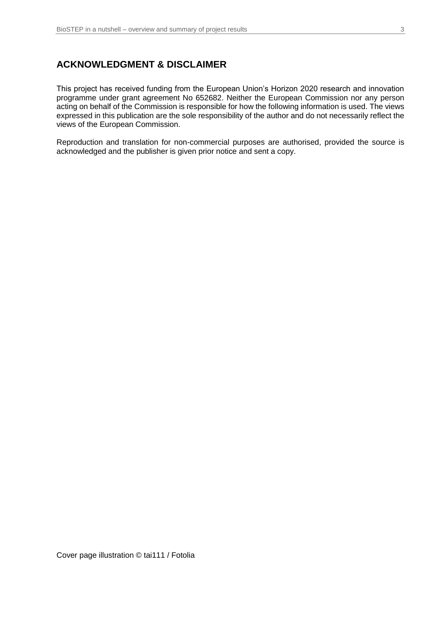#### **ACKNOWLEDGMENT & DISCLAIMER**

This project has received funding from the European Union's Horizon 2020 research and innovation programme under grant agreement No 652682. Neither the European Commission nor any person acting on behalf of the Commission is responsible for how the following information is used. The views expressed in this publication are the sole responsibility of the author and do not necessarily reflect the views of the European Commission.

Reproduction and translation for non-commercial purposes are authorised, provided the source is acknowledged and the publisher is given prior notice and sent a copy.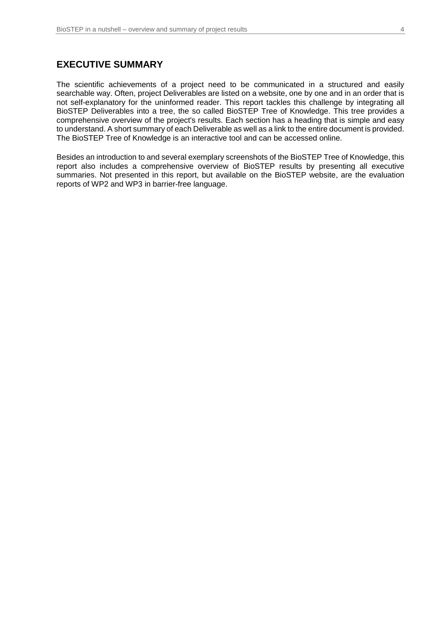#### **EXECUTIVE SUMMARY**

The scientific achievements of a project need to be communicated in a structured and easily searchable way. Often, project Deliverables are listed on a website, one by one and in an order that is not self-explanatory for the uninformed reader. This report tackles this challenge by integrating all BioSTEP Deliverables into a tree, the so called BioSTEP Tree of Knowledge. This tree provides a comprehensive overview of the project's results. Each section has a heading that is simple and easy to understand. A short summary of each Deliverable as well as a link to the entire document is provided. The BioSTEP Tree of Knowledge is an interactive tool and can be accessed online.

Besides an introduction to and several exemplary screenshots of the BioSTEP Tree of Knowledge, this report also includes a comprehensive overview of BioSTEP results by presenting all executive summaries. Not presented in this report, but available on the BioSTEP website, are the evaluation reports of WP2 and WP3 in barrier-free language.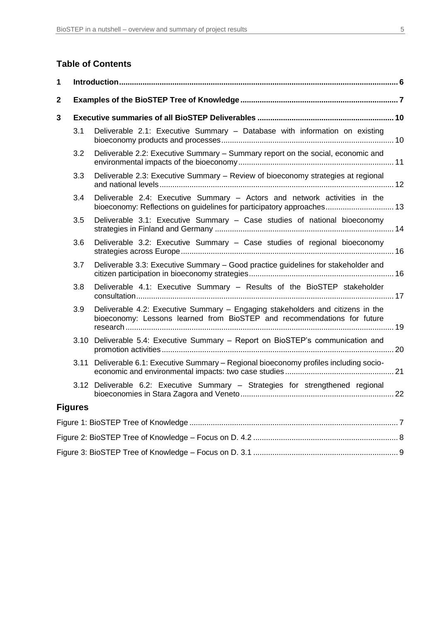#### **Table of Contents**

| 1            |                |                                                                                                                                                           |  |  |
|--------------|----------------|-----------------------------------------------------------------------------------------------------------------------------------------------------------|--|--|
| $\mathbf{2}$ |                |                                                                                                                                                           |  |  |
| 3            |                |                                                                                                                                                           |  |  |
|              | 3.1            | Deliverable 2.1: Executive Summary - Database with information on existing                                                                                |  |  |
|              | 3.2            | Deliverable 2.2: Executive Summary - Summary report on the social, economic and                                                                           |  |  |
|              | 3.3            | Deliverable 2.3: Executive Summary - Review of bioeconomy strategies at regional                                                                          |  |  |
|              | 3.4            | Deliverable 2.4: Executive Summary - Actors and network activities in the<br>bioeconomy: Reflections on guidelines for participatory approaches 13        |  |  |
|              | 3.5            | Deliverable 3.1: Executive Summary - Case studies of national bioeconomy                                                                                  |  |  |
|              | 3.6            | Deliverable 3.2: Executive Summary - Case studies of regional bioeconomy                                                                                  |  |  |
|              | 3.7            | Deliverable 3.3: Executive Summary - Good practice guidelines for stakeholder and                                                                         |  |  |
|              | 3.8            | Deliverable 4.1: Executive Summary - Results of the BioSTEP stakeholder                                                                                   |  |  |
|              | 3.9            | Deliverable 4.2: Executive Summary - Engaging stakeholders and citizens in the<br>bioeconomy: Lessons learned from BioSTEP and recommendations for future |  |  |
|              |                | 3.10 Deliverable 5.4: Executive Summary - Report on BioSTEP's communication and                                                                           |  |  |
|              |                | 3.11 Deliverable 6.1: Executive Summary - Regional bioeconomy profiles including socio-                                                                   |  |  |
|              |                | 3.12 Deliverable 6.2: Executive Summary - Strategies for strengthened regional                                                                            |  |  |
|              | <b>Figures</b> |                                                                                                                                                           |  |  |
|              |                |                                                                                                                                                           |  |  |
|              |                |                                                                                                                                                           |  |  |
|              |                |                                                                                                                                                           |  |  |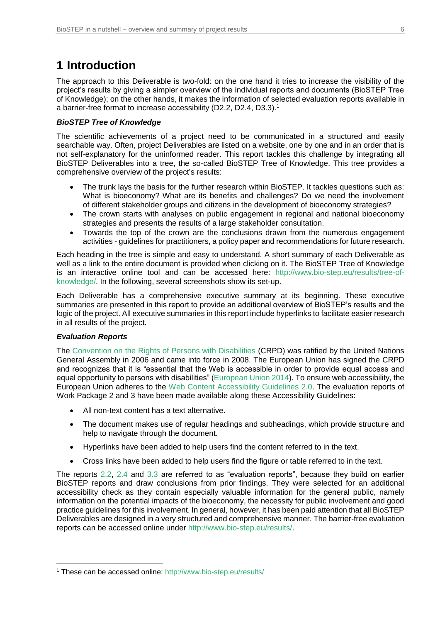# **1 Introduction**

The approach to this Deliverable is two-fold: on the one hand it tries to increase the visibility of the project's results by giving a simpler overview of the individual reports and documents (BioSTEP Tree of Knowledge); on the other hands, it makes the information of selected evaluation reports available in a barrier-free format to increase accessibility (D2.2, D2.4, D3.3).<sup>1</sup>

#### *BioSTEP Tree of Knowledge*

The scientific achievements of a project need to be communicated in a structured and easily searchable way. Often, project Deliverables are listed on a website, one by one and in an order that is not self-explanatory for the uninformed reader. This report tackles this challenge by integrating all BioSTEP Deliverables into a tree, the so-called BioSTEP Tree of Knowledge. This tree provides a comprehensive overview of the project's results:

- The trunk lays the basis for the further research within BioSTEP. It tackles questions such as: What is bioeconomy? What are its benefits and challenges? Do we need the involvement of different stakeholder groups and citizens in the development of bioeconomy strategies?
- The crown starts with analyses on public engagement in regional and national bioeconomy strategies and presents the results of a large stakeholder consultation.
- Towards the top of the crown are the conclusions drawn from the numerous engagement activities - guidelines for practitioners, a policy paper and recommendations for future research.

Each heading in the tree is simple and easy to understand. A short summary of each Deliverable as well as a link to the entire document is provided when clicking on it. The BioSTEP Tree of Knowledge is an interactive online tool and can be accessed here: [http://www.bio-step.eu/results/tree-of](https://www.bio-step.eu/results/tree-of-knowledge/)[knowledge/.](https://www.bio-step.eu/results/tree-of-knowledge/) In the following, several screenshots show its set-up.

Each Deliverable has a comprehensive executive summary at its beginning. These executive summaries are presented in this report to provide an additional overview of BioSTEP's results and the logic of the project. All executive summaries in this report include hyperlinks to facilitate easier research in all results of the project.

#### *Evaluation Reports*

 $\overline{a}$ 

The [Convention on the Rights of Persons with Disabilities](https://www.un.org/disabilities/documents/convention/convoptprot-e.pdf) (CRPD) was ratified by the United Nations General Assembly in 2006 and came into force in 2008. The European Union has signed the CRPD and recognizes that it is "essential that the Web is accessible in order to provide equal access and equal opportunity to persons with disabilities" [\(European Union 2014\)](https://ec.europa.eu/ipg/standards/accessibility/index_en.htm). To ensure web accessibility, the European Union adheres to the [Web Content Accessibility Guidelines 2.0.](https://www.w3.org/WAI/WCAG20/glance/) The evaluation reports of Work Package 2 and 3 have been made available along these Accessibility Guidelines:

- All non-text content has a text alternative.
- The document makes use of regular headings and subheadings, which provide structure and help to navigate through the document.
- Hyperlinks have been added to help users find the content referred to in the text.
- Cross links have been added to help users find the figure or table referred to in the text.

The reports [2.2,](https://www.bio-step.eu/fileadmin/BioSTEP/Bio_documents/BioSTEP_D2.2_Impacts_of_the_bioeconomy.pdf) [2.4](https://www.bio-step.eu/fileadmin/BioSTEP/Bio_documents/BioSTEP_D2.4_Actors_and_network_activities_in_the_bioeconomy.pdf) and [3.3](https://www.bio-step.eu/fileadmin/BioSTEP/Bio_documents/BioSTEP_D3.3_Good_practice_guidelines.pdf) are referred to as "evaluation reports", because they build on earlier BioSTEP reports and draw conclusions from prior findings. They were selected for an additional accessibility check as they contain especially valuable information for the general public, namely information on the potential impacts of the bioeconomy, the necessity for public involvement and good practice guidelines for this involvement. In general, however, it has been paid attention that all BioSTEP Deliverables are designed in a very structured and comprehensive manner. The barrier-free evaluation reports can be accessed online under [http://www.bio-step.eu/results/.](https://www.bio-step.eu/results/)

<sup>1</sup> These can be accessed online: [http://www.bio-step.eu/results/](https://www.bio-step.eu/results/)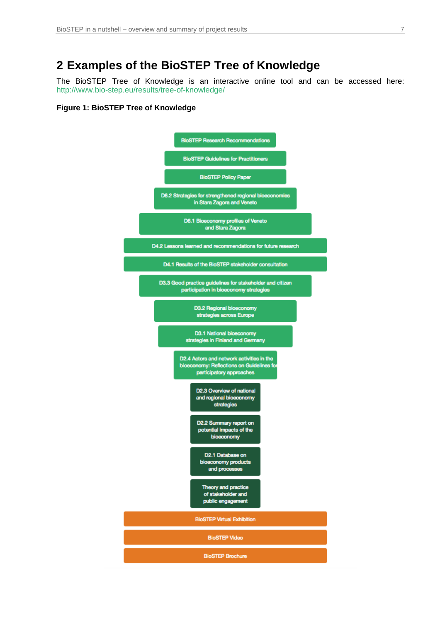# **2 Examples of the BioSTEP Tree of Knowledge**

The BioSTEP Tree of Knowledge is an interactive online tool and can be accessed here: [http://www.bio-step.eu/results/tree-of-knowledge/](https://www.bio-step.eu/results/tree-of-knowledge/)

#### **Figure 1: BioSTEP Tree of Knowledge**

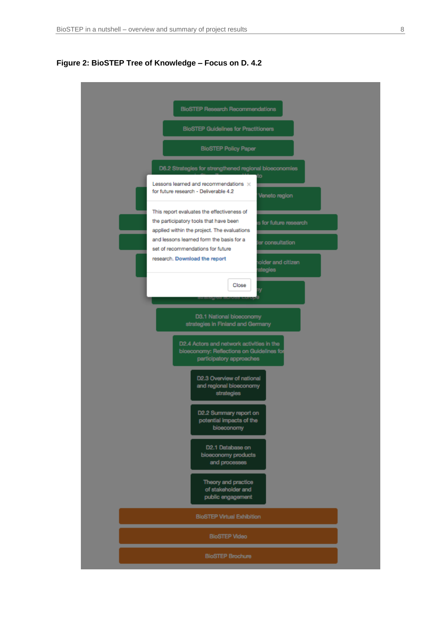

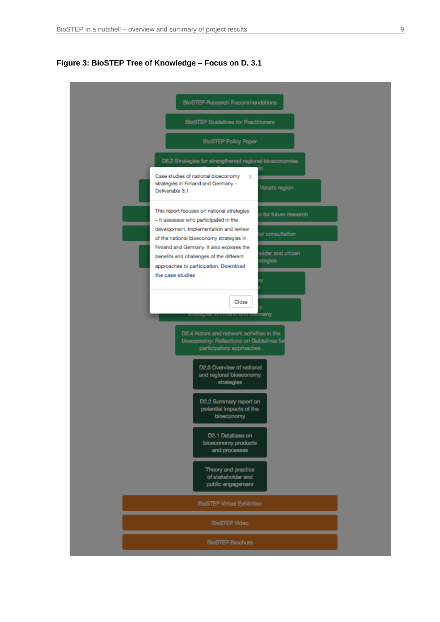

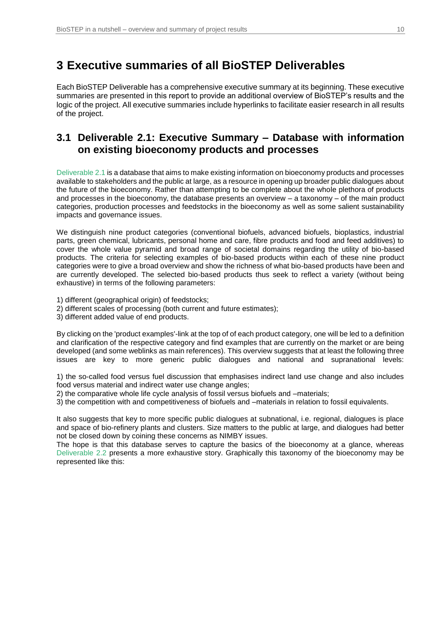## **3 Executive summaries of all BioSTEP Deliverables**

Each BioSTEP Deliverable has a comprehensive executive summary at its beginning. These executive summaries are presented in this report to provide an additional overview of BioSTEP's results and the logic of the project. All executive summaries include hyperlinks to facilitate easier research in all results of the project.

#### <span id="page-9-0"></span>**3.1 Deliverable 2.1: Executive Summary – Database with information on existing bioeconomy products and processes**

[Deliverable 2.1](https://www.bio-step.eu/results/) is a database that aims to make existing information on bioeconomy products and processes available to stakeholders and the public at large, as a resource in opening up broader public dialogues about the future of the bioeconomy. Rather than attempting to be complete about the whole plethora of products and processes in the bioeconomy, the database presents an overview – a taxonomy – of the main product categories, production processes and feedstocks in the bioeconomy as well as some salient sustainability impacts and governance issues.

We distinguish nine product categories (conventional biofuels, advanced biofuels, bioplastics, industrial parts, green chemical, lubricants, personal home and care, fibre products and food and feed additives) to cover the whole value pyramid and broad range of societal domains regarding the utility of bio-based products. The criteria for selecting examples of bio-based products within each of these nine product categories were to give a broad overview and show the richness of what bio-based products have been and are currently developed. The selected bio-based products thus seek to reflect a variety (without being exhaustive) in terms of the following parameters:

1) different (geographical origin) of feedstocks;

2) different scales of processing (both current and future estimates);

3) different added value of end products.

By clicking on the 'product examples'-link at the top of of each product category, one will be led to a definition and clarification of the respective category and find examples that are currently on the market or are being developed (and some weblinks as main references). This overview suggests that at least the following three issues are key to more generic public dialogues and national and supranational levels:

1) the so-called food versus fuel discussion that emphasises indirect land use change and also includes food versus material and indirect water use change angles;

2) the comparative whole life cycle analysis of fossil versus biofuels and –materials;

3) the competition with and competitiveness of biofuels and –materials in relation to fossil equivalents.

It also suggests that key to more specific public dialogues at subnational, i.e. regional, dialogues is place and space of bio-refinery plants and clusters. Size matters to the public at large, and dialogues had better not be closed down by coining these concerns as NIMBY issues.

The hope is that this database serves to capture the basics of the bioeconomy at a glance, whereas [Deliverable 2.2](#page-10-0) presents a more exhaustive story. Graphically this taxonomy of the bioeconomy may be represented like this: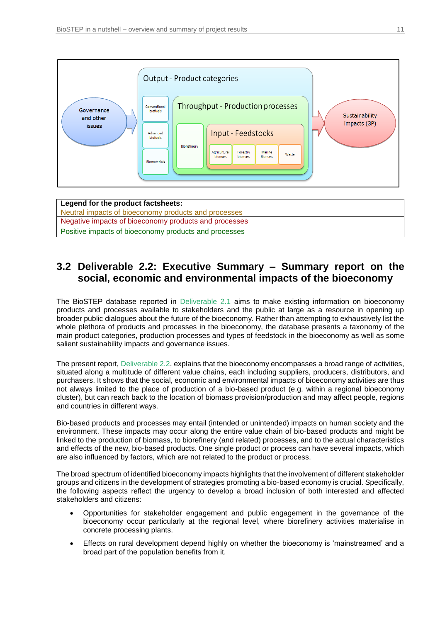

| Legend for the product factsheets:                    |
|-------------------------------------------------------|
| Neutral impacts of bioeconomy products and processes  |
| Negative impacts of bioeconomy products and processes |
| Positive impacts of bioeconomy products and processes |

#### <span id="page-10-0"></span>**3.2 Deliverable 2.2: Executive Summary – Summary report on the social, economic and environmental impacts of the bioeconomy**

The BioSTEP database reported in [Deliverable 2.1](#page-9-0) aims to make existing information on bioeconomy products and processes available to stakeholders and the public at large as a resource in opening up broader public dialogues about the future of the bioeconomy. Rather than attempting to exhaustively list the whole plethora of products and processes in the bioeconomy, the database presents a taxonomy of the main product categories, production processes and types of feedstock in the bioeconomy as well as some salient sustainability impacts and governance issues.

The present report, [Deliverable 2.2,](https://www.bio-step.eu/fileadmin/BioSTEP/Bio_documents/BioSTEP_D2.2_Impacts_of_the_bioeconomy.pdf) explains that the bioeconomy encompasses a broad range of activities, situated along a multitude of different value chains, each including suppliers, producers, distributors, and purchasers. It shows that the social, economic and environmental impacts of bioeconomy activities are thus not always limited to the place of production of a bio-based product (e.g. within a regional bioeconomy cluster), but can reach back to the location of biomass provision/production and may affect people, regions and countries in different ways.

Bio-based products and processes may entail (intended or unintended) impacts on human society and the environment. These impacts may occur along the entire value chain of bio-based products and might be linked to the production of biomass, to biorefinery (and related) processes, and to the actual characteristics and effects of the new, bio-based products. One single product or process can have several impacts, which are also influenced by factors, which are not related to the product or process.

The broad spectrum of identified bioeconomy impacts highlights that the involvement of different stakeholder groups and citizens in the development of strategies promoting a bio-based economy is crucial. Specifically, the following aspects reflect the urgency to develop a broad inclusion of both interested and affected stakeholders and citizens:

- Opportunities for stakeholder engagement and public engagement in the governance of the bioeconomy occur particularly at the regional level, where biorefinery activities materialise in concrete processing plants.
- Effects on rural development depend highly on whether the bioeconomy is 'mainstreamed' and a broad part of the population benefits from it.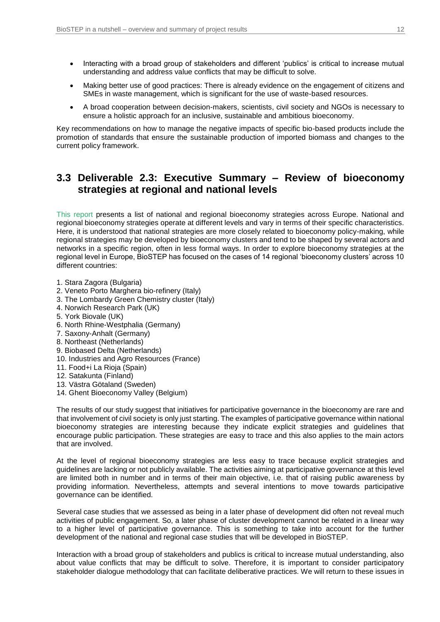- Interacting with a broad group of stakeholders and different 'publics' is critical to increase mutual understanding and address value conflicts that may be difficult to solve.
- Making better use of good practices: There is already evidence on the engagement of citizens and SMEs in waste management, which is significant for the use of waste-based resources.
- A broad cooperation between decision-makers, scientists, civil society and NGOs is necessary to ensure a holistic approach for an inclusive, sustainable and ambitious bioeconomy.

Key recommendations on how to manage the negative impacts of specific bio-based products include the promotion of standards that ensure the sustainable production of imported biomass and changes to the current policy framework.

### **3.3 Deliverable 2.3: Executive Summary – Review of bioeconomy strategies at regional and national levels**

[This report](https://www.bio-step.eu/fileadmin/BioSTEP/Bio_documents/BioSTEP_D2.3_Review_of_strategies.pdf) presents a list of national and regional bioeconomy strategies across Europe. National and regional bioeconomy strategies operate at different levels and vary in terms of their specific characteristics. Here, it is understood that national strategies are more closely related to bioeconomy policy-making, while regional strategies may be developed by bioeconomy clusters and tend to be shaped by several actors and networks in a specific region, often in less formal ways. In order to explore bioeconomy strategies at the regional level in Europe, BioSTEP has focused on the cases of 14 regional 'bioeconomy clusters' across 10 different countries:

- 1. Stara Zagora (Bulgaria)
- 2. Veneto Porto Marghera bio-refinery (Italy)
- 3. The Lombardy Green Chemistry cluster (Italy)
- 4. Norwich Research Park (UK)
- 5. York Biovale (UK)
- 6. North Rhine-Westphalia (Germany)
- 7. Saxony-Anhalt (Germany)
- 8. Northeast (Netherlands)
- 9. Biobased Delta (Netherlands)
- 10. Industries and Agro Resources (France)
- 11. Food+i La Rioja (Spain)
- 12. Satakunta (Finland)
- 13. Västra Götaland (Sweden)
- 14. Ghent Bioeconomy Valley (Belgium)

The results of our study suggest that initiatives for participative governance in the bioeconomy are rare and that involvement of civil society is only just starting. The examples of participative governance within national bioeconomy strategies are interesting because they indicate explicit strategies and guidelines that encourage public participation. These strategies are easy to trace and this also applies to the main actors that are involved.

At the level of regional bioeconomy strategies are less easy to trace because explicit strategies and guidelines are lacking or not publicly available. The activities aiming at participative governance at this level are limited both in number and in terms of their main objective, i.e. that of raising public awareness by providing information. Nevertheless, attempts and several intentions to move towards participative governance can be identified.

Several case studies that we assessed as being in a later phase of development did often not reveal much activities of public engagement. So, a later phase of cluster development cannot be related in a linear way to a higher level of participative governance. This is something to take into account for the further development of the national and regional case studies that will be developed in BioSTEP.

Interaction with a broad group of stakeholders and publics is critical to increase mutual understanding, also about value conflicts that may be difficult to solve. Therefore, it is important to consider participatory stakeholder dialogue methodology that can facilitate deliberative practices. We will return to these issues in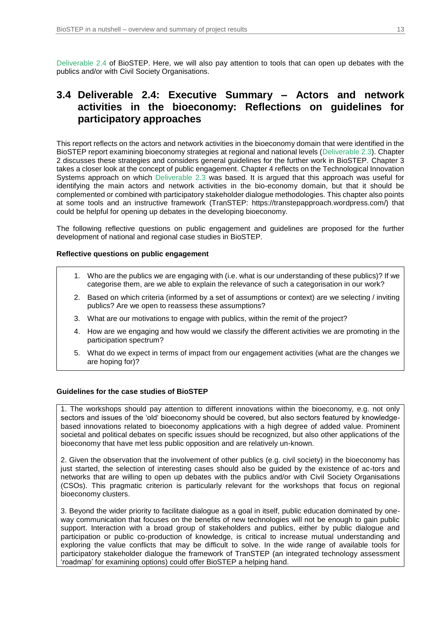[Deliverable 2.4](https://www.bio-step.eu/fileadmin/BioSTEP/Bio_documents/BioSTEP_D2.4_Actors_and_network_activities_in_the_bioeconomy.pdf) of BioSTEP. Here, we will also pay attention to tools that can open up debates with the publics and/or with Civil Society Organisations.

#### **3.4 Deliverable 2.4: Executive Summary – Actors and network activities in the bioeconomy: Reflections on guidelines for participatory approaches**

This report reflects on the actors and network activities in the bioeconomy domain that were identified in the BioSTEP report examining bioeconomy strategies at regional and national levels [\(Deliverable 2.3\)](https://www.bio-step.eu/fileadmin/BioSTEP/Bio_documents/BioSTEP_D2.3_Review_of_strategies.pdf). Chapter 2 discusses these strategies and considers general guidelines for the further work in BioSTEP. Chapter 3 takes a closer look at the concept of public engagement. Chapter 4 reflects on the Technological Innovation Systems approach on which [Deliverable 2.3](https://www.bio-step.eu/fileadmin/BioSTEP/Bio_documents/BioSTEP_D2.3_Review_of_strategies.pdf) was based. It is argued that this approach was useful for identifying the main actors and network activities in the bio-economy domain, but that it should be complemented or combined with participatory stakeholder dialogue methodologies. This chapter also points at some tools and an instructive framework (TranSTEP: https://transtepapproach.wordpress.com/) that could be helpful for opening up debates in the developing bioeconomy.

The following reflective questions on public engagement and guidelines are proposed for the further development of national and regional case studies in BioSTEP.

#### **Reflective questions on public engagement**

- 1. Who are the publics we are engaging with (i.e. what is our understanding of these publics)? If we categorise them, are we able to explain the relevance of such a categorisation in our work?
- 2. Based on which criteria (informed by a set of assumptions or context) are we selecting / inviting publics? Are we open to reassess these assumptions?
- 3. What are our motivations to engage with publics, within the remit of the project?
- 4. How are we engaging and how would we classify the different activities we are promoting in the participation spectrum?
- 5. What do we expect in terms of impact from our engagement activities (what are the changes we are hoping for)?

#### **Guidelines for the case studies of BioSTEP**

1. The workshops should pay attention to different innovations within the bioeconomy, e.g. not only sectors and issues of the 'old' bioeconomy should be covered, but also sectors featured by knowledgebased innovations related to bioeconomy applications with a high degree of added value. Prominent societal and political debates on specific issues should be recognized, but also other applications of the bioeconomy that have met less public opposition and are relatively un-known.

2. Given the observation that the involvement of other publics (e.g. civil society) in the bioeconomy has just started, the selection of interesting cases should also be guided by the existence of ac-tors and networks that are willing to open up debates with the publics and/or with Civil Society Organisations (CSOs). This pragmatic criterion is particularly relevant for the workshops that focus on regional bioeconomy clusters.

3. Beyond the wider priority to facilitate dialogue as a goal in itself, public education dominated by oneway communication that focuses on the benefits of new technologies will not be enough to gain public support. Interaction with a broad group of stakeholders and publics, either by public dialogue and participation or public co-production of knowledge, is critical to increase mutual understanding and exploring the value conflicts that may be difficult to solve. In the wide range of available tools for participatory stakeholder dialogue the framework of TranSTEP (an integrated technology assessment 'roadmap' for examining options) could offer BioSTEP a helping hand.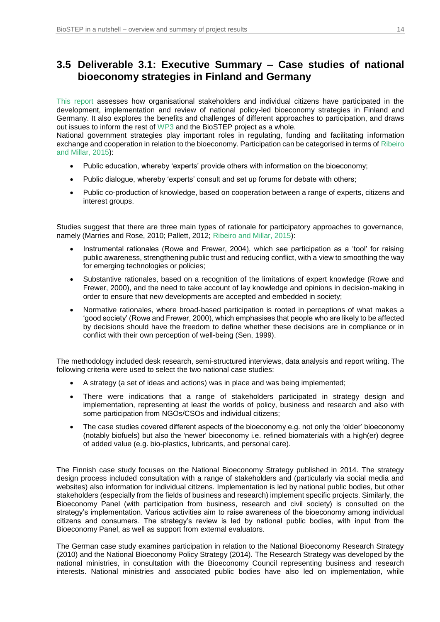## <span id="page-13-0"></span>**3.5 Deliverable 3.1: Executive Summary – Case studies of national bioeconomy strategies in Finland and Germany**

[This report](https://www.bio-step.eu/fileadmin/BioSTEP/Bio_documents/BioSTEP_D3.1_Case_studies_of_national_strategies.pdf) assesses how organisational stakeholders and individual citizens have participated in the development, implementation and review of national policy-led bioeconomy strategies in Finland and Germany. It also explores the benefits and challenges of different approaches to participation, and draws out issues to inform the rest of [WP3](#page-13-0) and the BioSTEP project as a whole.

National government strategies play important roles in regulating, funding and facilitating information exchange and cooperation in relation to the bioeconomy. Participation can be categorised in terms o[f Ribeiro](https://www.bio-step.eu/fileadmin/BioSTEP/Bio_documents/BioSTEP_Working_Paper_Ribeiro_and_Millar_2015.pdf)  [and Millar, 2015\)](https://www.bio-step.eu/fileadmin/BioSTEP/Bio_documents/BioSTEP_Working_Paper_Ribeiro_and_Millar_2015.pdf):

- Public education, whereby 'experts' provide others with information on the bioeconomy;
- Public dialogue, whereby 'experts' consult and set up forums for debate with others;
- Public co-production of knowledge, based on cooperation between a range of experts, citizens and interest groups.

Studies suggest that there are three main types of rationale for participatory approaches to governance, namely (Marries and Rose, 2010; Pallett, 2012; [Ribeiro and Millar, 2015\)](https://www.bio-step.eu/fileadmin/BioSTEP/Bio_documents/BioSTEP_Working_Paper_Ribeiro_and_Millar_2015.pdf):

- Instrumental rationales (Rowe and Frewer, 2004), which see participation as a 'tool' for raising public awareness, strengthening public trust and reducing conflict, with a view to smoothing the way for emerging technologies or policies;
- Substantive rationales, based on a recognition of the limitations of expert knowledge (Rowe and Frewer, 2000), and the need to take account of lay knowledge and opinions in decision-making in order to ensure that new developments are accepted and embedded in society;
- Normative rationales, where broad-based participation is rooted in perceptions of what makes a 'good society' (Rowe and Frewer, 2000), which emphasises that people who are likely to be affected by decisions should have the freedom to define whether these decisions are in compliance or in conflict with their own perception of well-being (Sen, 1999).

The methodology included desk research, semi-structured interviews, data analysis and report writing. The following criteria were used to select the two national case studies:

- A strategy (a set of ideas and actions) was in place and was being implemented;
- There were indications that a range of stakeholders participated in strategy design and implementation, representing at least the worlds of policy, business and research and also with some participation from NGOs/CSOs and individual citizens;
- The case studies covered different aspects of the bioeconomy e.g. not only the 'older' bioeconomy (notably biofuels) but also the 'newer' bioeconomy i.e. refined biomaterials with a high(er) degree of added value (e.g. bio-plastics, lubricants, and personal care).

The Finnish case study focuses on the National Bioeconomy Strategy published in 2014. The strategy design process included consultation with a range of stakeholders and (particularly via social media and websites) also information for individual citizens. Implementation is led by national public bodies, but other stakeholders (especially from the fields of business and research) implement specific projects. Similarly, the Bioeconomy Panel (with participation from business, research and civil society) is consulted on the strategy's implementation. Various activities aim to raise awareness of the bioeconomy among individual citizens and consumers. The strategy's review is led by national public bodies, with input from the Bioeconomy Panel, as well as support from external evaluators.

The German case study examines participation in relation to the National Bioeconomy Research Strategy (2010) and the National Bioeconomy Policy Strategy (2014). The Research Strategy was developed by the national ministries, in consultation with the Bioeconomy Council representing business and research interests. National ministries and associated public bodies have also led on implementation, while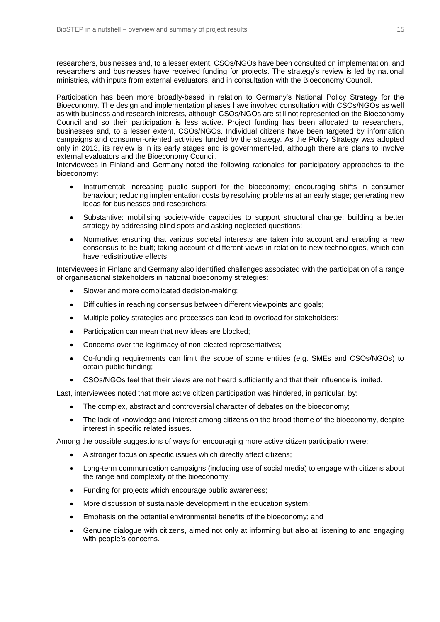researchers, businesses and, to a lesser extent, CSOs/NGOs have been consulted on implementation, and researchers and businesses have received funding for projects. The strategy's review is led by national ministries, with inputs from external evaluators, and in consultation with the Bioeconomy Council.

Participation has been more broadly-based in relation to Germany's National Policy Strategy for the Bioeconomy. The design and implementation phases have involved consultation with CSOs/NGOs as well as with business and research interests, although CSOs/NGOs are still not represented on the Bioeconomy Council and so their participation is less active. Project funding has been allocated to researchers, businesses and, to a lesser extent, CSOs/NGOs. Individual citizens have been targeted by information campaigns and consumer-oriented activities funded by the strategy. As the Policy Strategy was adopted only in 2013, its review is in its early stages and is government-led, although there are plans to involve external evaluators and the Bioeconomy Council.

Interviewees in Finland and Germany noted the following rationales for participatory approaches to the bioeconomy:

- Instrumental: increasing public support for the bioeconomy; encouraging shifts in consumer behaviour; reducing implementation costs by resolving problems at an early stage; generating new ideas for businesses and researchers;
- Substantive: mobilising society-wide capacities to support structural change; building a better strategy by addressing blind spots and asking neglected questions;
- Normative: ensuring that various societal interests are taken into account and enabling a new consensus to be built; taking account of different views in relation to new technologies, which can have redistributive effects.

Interviewees in Finland and Germany also identified challenges associated with the participation of a range of organisational stakeholders in national bioeconomy strategies:

- Slower and more complicated decision-making;
- Difficulties in reaching consensus between different viewpoints and goals;
- Multiple policy strategies and processes can lead to overload for stakeholders;
- Participation can mean that new ideas are blocked;
- Concerns over the legitimacy of non-elected representatives;
- Co-funding requirements can limit the scope of some entities (e.g. SMEs and CSOs/NGOs) to obtain public funding;
- CSOs/NGOs feel that their views are not heard sufficiently and that their influence is limited.

Last, interviewees noted that more active citizen participation was hindered, in particular, by:

- The complex, abstract and controversial character of debates on the bioeconomy;
- The lack of knowledge and interest among citizens on the broad theme of the bioeconomy, despite interest in specific related issues.

Among the possible suggestions of ways for encouraging more active citizen participation were:

- A stronger focus on specific issues which directly affect citizens;
- Long-term communication campaigns (including use of social media) to engage with citizens about the range and complexity of the bioeconomy;
- Funding for projects which encourage public awareness;
- More discussion of sustainable development in the education system;
- Emphasis on the potential environmental benefits of the bioeconomy; and
- Genuine dialogue with citizens, aimed not only at informing but also at listening to and engaging with people's concerns.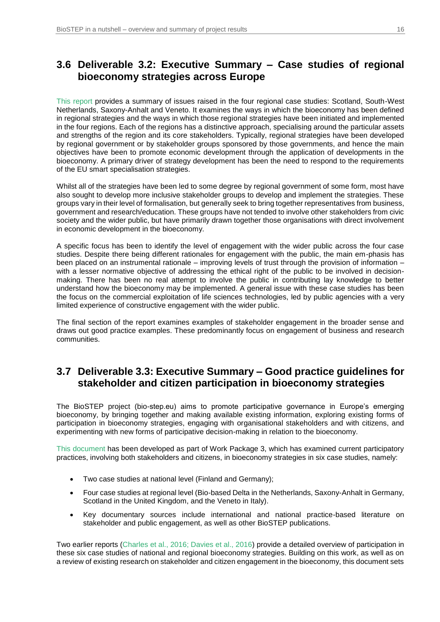## **3.6 Deliverable 3.2: Executive Summary – Case studies of regional bioeconomy strategies across Europe**

[This report](https://www.bio-step.eu/fileadmin/BioSTEP/Bio_documents/BioSTEP_D3.2_Case_studies_of_regional_strategies.pdf) provides a summary of issues raised in the four regional case studies: Scotland, South-West Netherlands, Saxony-Anhalt and Veneto. It examines the ways in which the bioeconomy has been defined in regional strategies and the ways in which those regional strategies have been initiated and implemented in the four regions. Each of the regions has a distinctive approach, specialising around the particular assets and strengths of the region and its core stakeholders. Typically, regional strategies have been developed by regional government or by stakeholder groups sponsored by those governments, and hence the main objectives have been to promote economic development through the application of developments in the bioeconomy. A primary driver of strategy development has been the need to respond to the requirements of the EU smart specialisation strategies.

Whilst all of the strategies have been led to some degree by regional government of some form, most have also sought to develop more inclusive stakeholder groups to develop and implement the strategies. These groups vary in their level of formalisation, but generally seek to bring together representatives from business, government and research/education. These groups have not tended to involve other stakeholders from civic society and the wider public, but have primarily drawn together those organisations with direct involvement in economic development in the bioeconomy.

A specific focus has been to identify the level of engagement with the wider public across the four case studies. Despite there being different rationales for engagement with the public, the main em-phasis has been placed on an instrumental rationale – improving levels of trust through the provision of information – with a lesser normative objective of addressing the ethical right of the public to be involved in decisionmaking. There has been no real attempt to involve the public in contributing lay knowledge to better understand how the bioeconomy may be implemented. A general issue with these case studies has been the focus on the commercial exploitation of life sciences technologies, led by public agencies with a very limited experience of constructive engagement with the wider public.

The final section of the report examines examples of stakeholder engagement in the broader sense and draws out good practice examples. These predominantly focus on engagement of business and research communities.

#### **3.7 Deliverable 3.3: Executive Summary – Good practice guidelines for stakeholder and citizen participation in bioeconomy strategies**

The BioSTEP project (bio-step.eu) aims to promote participative governance in Europe's emerging bioeconomy, by bringing together and making available existing information, exploring existing forms of participation in bioeconomy strategies, engaging with organisational stakeholders and with citizens, and experimenting with new forms of participative decision-making in relation to the bioeconomy.

[This document](https://www.bio-step.eu/fileadmin/BioSTEP/Bio_documents/BioSTEP_D3.3_Good_practice_guidelines.pdf) has been developed as part of Work Package 3, which has examined current participatory practices, involving both stakeholders and citizens, in bioeconomy strategies in six case studies, namely:

- Two case studies at national level (Finland and Germany);
- Four case studies at regional level (Bio-based Delta in the Netherlands, Saxony-Anhalt in Germany, Scotland in the United Kingdom, and the Veneto in Italy).
- Key documentary sources include international and national practice-based literature on stakeholder and public engagement, as well as other BioSTEP publications.

Two earlier reports [\(Charles et al., 2016; Davies et al., 2016\)](https://www.bio-step.eu/results/) provide a detailed overview of participation in these six case studies of national and regional bioeconomy strategies. Building on this work, as well as on a review of existing research on stakeholder and citizen engagement in the bioeconomy, this document sets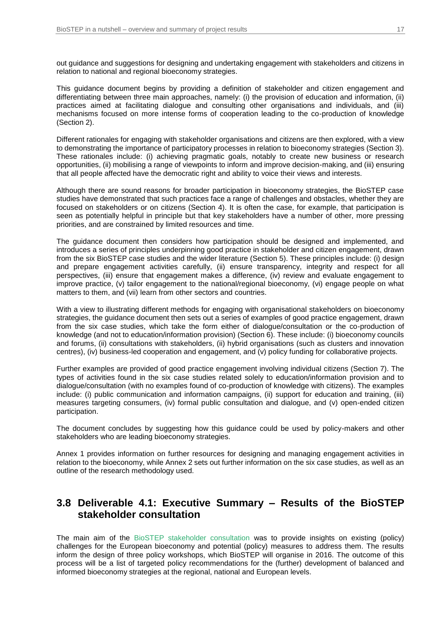out guidance and suggestions for designing and undertaking engagement with stakeholders and citizens in relation to national and regional bioeconomy strategies.

This guidance document begins by providing a definition of stakeholder and citizen engagement and differentiating between three main approaches, namely: (i) the provision of education and information, (ii) practices aimed at facilitating dialogue and consulting other organisations and individuals, and (iii) mechanisms focused on more intense forms of cooperation leading to the co-production of knowledge (Section 2).

Different rationales for engaging with stakeholder organisations and citizens are then explored, with a view to demonstrating the importance of participatory processes in relation to bioeconomy strategies (Section 3). These rationales include: (i) achieving pragmatic goals, notably to create new business or research opportunities, (ii) mobilising a range of viewpoints to inform and improve decision-making, and (iii) ensuring that all people affected have the democratic right and ability to voice their views and interests.

Although there are sound reasons for broader participation in bioeconomy strategies, the BioSTEP case studies have demonstrated that such practices face a range of challenges and obstacles, whether they are focused on stakeholders or on citizens (Section 4). It is often the case, for example, that participation is seen as potentially helpful in principle but that key stakeholders have a number of other, more pressing priorities, and are constrained by limited resources and time.

The guidance document then considers how participation should be designed and implemented, and introduces a series of principles underpinning good practice in stakeholder and citizen engagement, drawn from the six BioSTEP case studies and the wider literature (Section 5). These principles include: (i) design and prepare engagement activities carefully, (ii) ensure transparency, integrity and respect for all perspectives, (iii) ensure that engagement makes a difference, (iv) review and evaluate engagement to improve practice, (v) tailor engagement to the national/regional bioeconomy, (vi) engage people on what matters to them, and (vii) learn from other sectors and countries.

With a view to illustrating different methods for engaging with organisational stakeholders on bioeconomy strategies, the guidance document then sets out a series of examples of good practice engagement, drawn from the six case studies, which take the form either of dialogue/consultation or the co-production of knowledge (and not to education/information provision) (Section 6). These include: (i) bioeconomy councils and forums, (ii) consultations with stakeholders, (ii) hybrid organisations (such as clusters and innovation centres), (iv) business-led cooperation and engagement, and (v) policy funding for collaborative projects.

Further examples are provided of good practice engagement involving individual citizens (Section 7). The types of activities found in the six case studies related solely to education/information provision and to dialogue/consultation (with no examples found of co-production of knowledge with citizens). The examples include: (i) public communication and information campaigns, (ii) support for education and training, (iii) measures targeting consumers, (iv) formal public consultation and dialogue, and (v) open-ended citizen participation.

The document concludes by suggesting how this guidance could be used by policy-makers and other stakeholders who are leading bioeconomy strategies.

Annex 1 provides information on further resources for designing and managing engagement activities in relation to the bioeconomy, while Annex 2 sets out further information on the six case studies, as well as an outline of the research methodology used.

#### **3.8 Deliverable 4.1: Executive Summary – Results of the BioSTEP stakeholder consultation**

The main aim of the [BioSTEP stakeholder consultation](https://www.bio-step.eu/fileadmin/BioSTEP/Bio_documents/BioSTEP_D4.1_Results_stakeholder_consultation.pdf) was to provide insights on existing (policy) challenges for the European bioeconomy and potential (policy) measures to address them. The results inform the design of three policy workshops, which BioSTEP will organise in 2016. The outcome of this process will be a list of targeted policy recommendations for the (further) development of balanced and informed bioeconomy strategies at the regional, national and European levels.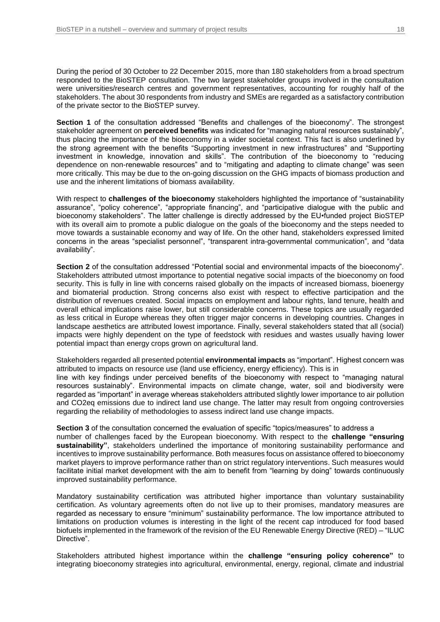During the period of 30 October to 22 December 2015, more than 180 stakeholders from a broad spectrum responded to the BioSTEP consultation. The two largest stakeholder groups involved in the consultation were universities/research centres and government representatives, accounting for roughly half of the stakeholders. The about 30 respondents from industry and SMEs are regarded as a satisfactory contribution of the private sector to the BioSTEP survey.

**Section 1** of the consultation addressed "Benefits and challenges of the bioeconomy". The strongest stakeholder agreement on **perceived benefits** was indicated for "managing natural resources sustainably", thus placing the importance of the bioeconomy in a wider societal context. This fact is also underlined by the strong agreement with the benefits "Supporting investment in new infrastructures" and "Supporting investment in knowledge, innovation and skills". The contribution of the bioeconomy to "reducing dependence on non-renewable resources" and to "mitigating and adapting to climate change" was seen more critically. This may be due to the on-going discussion on the GHG impacts of biomass production and use and the inherent limitations of biomass availability.

With respect to **challenges of the bioeconomy** stakeholders highlighted the importance of "sustainability assurance", "policy coherence", "appropriate financing", and "participative dialogue with the public and bioeconomy stakeholders". The latter challenge is directly addressed by the EU•funded project BioSTEP with its overall aim to promote a public dialogue on the goals of the bioeconomy and the steps needed to move towards a sustainable economy and way of life. On the other hand, stakeholders expressed limited concerns in the areas "specialist personnel", "transparent intra-governmental communication", and "data availability".

**Section 2** of the consultation addressed "Potential social and environmental impacts of the bioeconomy". Stakeholders attributed utmost importance to potential negative social impacts of the bioeconomy on food security. This is fully in line with concerns raised globally on the impacts of increased biomass, bioenergy and biomaterial production. Strong concerns also exist with respect to effective participation and the distribution of revenues created. Social impacts on employment and labour rights, land tenure, health and overall ethical implications raise lower, but still considerable concerns. These topics are usually regarded as less critical in Europe whereas they often trigger major concerns in developing countries. Changes in landscape aesthetics are attributed lowest importance. Finally, several stakeholders stated that all (social) impacts were highly dependent on the type of feedstock with residues and wastes usually having lower potential impact than energy crops grown on agricultural land.

Stakeholders regarded all presented potential **environmental impacts** as "important". Highest concern was attributed to impacts on resource use (land use efficiency, energy efficiency). This is in line with key findings under perceived benefits of the bioeconomy with respect to "managing natural resources sustainably". Environmental impacts on climate change, water, soil and biodiversity were regarded as "important" in average whereas stakeholders attributed slightly lower importance to air pollution and CO2eq emissions due to indirect land use change. The latter may result from ongoing controversies regarding the reliability of methodologies to assess indirect land use change impacts.

**Section 3** of the consultation concerned the evaluation of specific "topics/measures" to address a number of challenges faced by the European bioeconomy. With respect to the **challenge "ensuring sustainability"**, stakeholders underlined the importance of monitoring sustainability performance and incentives to improve sustainability performance. Both measures focus on assistance offered to bioeconomy market players to improve performance rather than on strict regulatory interventions. Such measures would facilitate initial market development with the aim to benefit from "learning by doing" towards continuously improved sustainability performance.

Mandatory sustainability certification was attributed higher importance than voluntary sustainability certification. As voluntary agreements often do not live up to their promises, mandatory measures are regarded as necessary to ensure "minimum" sustainability performance. The low importance attributed to limitations on production volumes is interesting in the light of the recent cap introduced for food based biofuels implemented in the framework of the revision of the EU Renewable Energy Directive (RED) – "ILUC Directive".

Stakeholders attributed highest importance within the **challenge "ensuring policy coherence"** to integrating bioeconomy strategies into agricultural, environmental, energy, regional, climate and industrial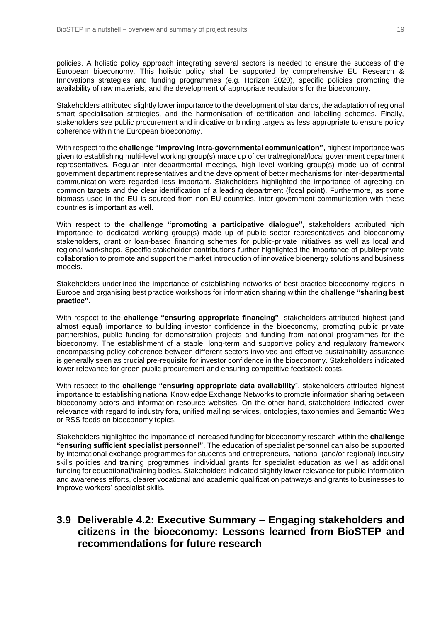policies. A holistic policy approach integrating several sectors is needed to ensure the success of the European bioeconomy. This holistic policy shall be supported by comprehensive EU Research & Innovations strategies and funding programmes (e.g. Horizon 2020), specific policies promoting the availability of raw materials, and the development of appropriate regulations for the bioeconomy.

Stakeholders attributed slightly lower importance to the development of standards, the adaptation of regional smart specialisation strategies, and the harmonisation of certification and labelling schemes. Finally, stakeholders see public procurement and indicative or binding targets as less appropriate to ensure policy coherence within the European bioeconomy.

With respect to the **challenge "improving intra-governmental communication"**, highest importance was given to establishing multi-level working group(s) made up of central/regional/local government department representatives. Regular inter-departmental meetings, high level working group(s) made up of central government department representatives and the development of better mechanisms for inter-departmental communication were regarded less important. Stakeholders highlighted the importance of agreeing on common targets and the clear identification of a leading department (focal point). Furthermore, as some biomass used in the EU is sourced from non-EU countries, inter-government communication with these countries is important as well.

With respect to the **challenge "promoting a participative dialogue",** stakeholders attributed high importance to dedicated working group(s) made up of public sector representatives and bioeconomy stakeholders, grant or loan-based financing schemes for public-private initiatives as well as local and regional workshops. Specific stakeholder contributions further highlighted the importance of public•private collaboration to promote and support the market introduction of innovative bioenergy solutions and business models.

Stakeholders underlined the importance of establishing networks of best practice bioeconomy regions in Europe and organising best practice workshops for information sharing within the **challenge "sharing best practice".**

With respect to the **challenge "ensuring appropriate financing"**, stakeholders attributed highest (and almost equal) importance to building investor confidence in the bioeconomy, promoting public private partnerships, public funding for demonstration projects and funding from national programmes for the bioeconomy. The establishment of a stable, long-term and supportive policy and regulatory framework encompassing policy coherence between different sectors involved and effective sustainability assurance is generally seen as crucial pre-requisite for investor confidence in the bioeconomy. Stakeholders indicated lower relevance for green public procurement and ensuring competitive feedstock costs.

With respect to the **challenge "ensuring appropriate data availability**", stakeholders attributed highest importance to establishing national Knowledge Exchange Networks to promote information sharing between bioeconomy actors and information resource websites. On the other hand, stakeholders indicated lower relevance with regard to industry fora, unified mailing services, ontologies, taxonomies and Semantic Web or RSS feeds on bioeconomy topics.

Stakeholders highlighted the importance of increased funding for bioeconomy research within the **challenge "ensuring sufficient specialist personnel"**. The education of specialist personnel can also be supported by international exchange programmes for students and entrepreneurs, national (and/or regional) industry skills policies and training programmes, individual grants for specialist education as well as additional funding for educational/training bodies. Stakeholders indicated slightly lower relevance for public information and awareness efforts, clearer vocational and academic qualification pathways and grants to businesses to improve workers' specialist skills.

#### **3.9 Deliverable 4.2: Executive Summary – Engaging stakeholders and citizens in the bioeconomy: Lessons learned from BioSTEP and recommendations for future research**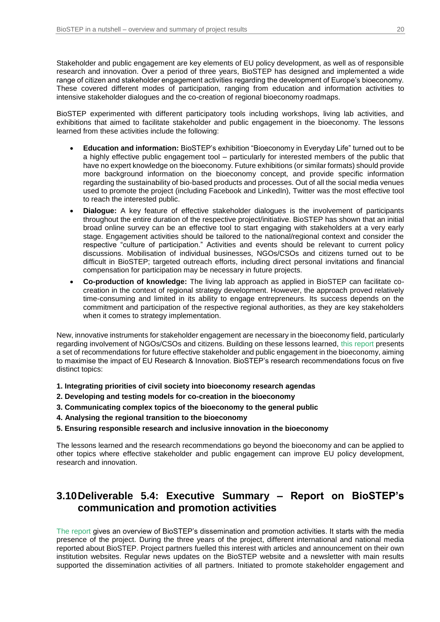Stakeholder and public engagement are key elements of EU policy development, as well as of responsible research and innovation. Over a period of three years, BioSTEP has designed and implemented a wide range of citizen and stakeholder engagement activities regarding the development of Europe's bioeconomy. These covered different modes of participation, ranging from education and information activities to intensive stakeholder dialogues and the co-creation of regional bioeconomy roadmaps.

BioSTEP experimented with different participatory tools including workshops, living lab activities, and exhibitions that aimed to facilitate stakeholder and public engagement in the bioeconomy. The lessons learned from these activities include the following:

- **Education and information:** BioSTEP's exhibition "Bioeconomy in Everyday Life" turned out to be a highly effective public engagement tool – particularly for interested members of the public that have no expert knowledge on the bioeconomy. Future exhibitions (or similar formats) should provide more background information on the bioeconomy concept, and provide specific information regarding the sustainability of bio-based products and processes. Out of all the social media venues used to promote the project (including Facebook and LinkedIn), Twitter was the most effective tool to reach the interested public.
- **Dialogue:** A key feature of effective stakeholder dialogues is the involvement of participants throughout the entire duration of the respective project/initiative. BioSTEP has shown that an initial broad online survey can be an effective tool to start engaging with stakeholders at a very early stage. Engagement activities should be tailored to the national/regional context and consider the respective "culture of participation." Activities and events should be relevant to current policy discussions. Mobilisation of individual businesses, NGOs/CSOs and citizens turned out to be difficult in BioSTEP; targeted outreach efforts, including direct personal invitations and financial compensation for participation may be necessary in future projects.
- **Co-production of knowledge:** The living lab approach as applied in BioSTEP can facilitate cocreation in the context of regional strategy development. However, the approach proved relatively time-consuming and limited in its ability to engage entrepreneurs. Its success depends on the commitment and participation of the respective regional authorities, as they are key stakeholders when it comes to strategy implementation.

New, innovative instruments for stakeholder engagement are necessary in the bioeconomy field, particularly regarding involvement of NGOs/CSOs and citizens. Building on these lessons learned, [this report](https://www.bio-step.eu/fileadmin/BioSTEP/Bio_documents/BioSTEP_D4.2_Lessons_learned_from_BioSTEP.pdf) presents a set of recommendations for future effective stakeholder and public engagement in the bioeconomy, aiming to maximise the impact of EU Research & Innovation. BioSTEP's research recommendations focus on five distinct topics:

- **1. Integrating priorities of civil society into bioeconomy research agendas**
- **2. Developing and testing models for co-creation in the bioeconomy**
- **3. Communicating complex topics of the bioeconomy to the general public**
- **4. Analysing the regional transition to the bioeconomy**
- **5. Ensuring responsible research and inclusive innovation in the bioeconomy**

The lessons learned and the research recommendations go beyond the bioeconomy and can be applied to other topics where effective stakeholder and public engagement can improve EU policy development, research and innovation.

## **3.10Deliverable 5.4: Executive Summary – Report on BioSTEP's communication and promotion activities**

[The report](https://www.bio-step.eu/fileadmin/BioSTEP/Bio_documents/BioSTEP_D5.4_Communication_and_promotion_activities.pdf) gives an overview of BioSTEP's dissemination and promotion activities. It starts with the media presence of the project. During the three years of the project, different international and national media reported about BioSTEP. Project partners fuelled this interest with articles and announcement on their own institution websites. Regular news updates on the BioSTEP website and a newsletter with main results supported the dissemination activities of all partners. Initiated to promote stakeholder engagement and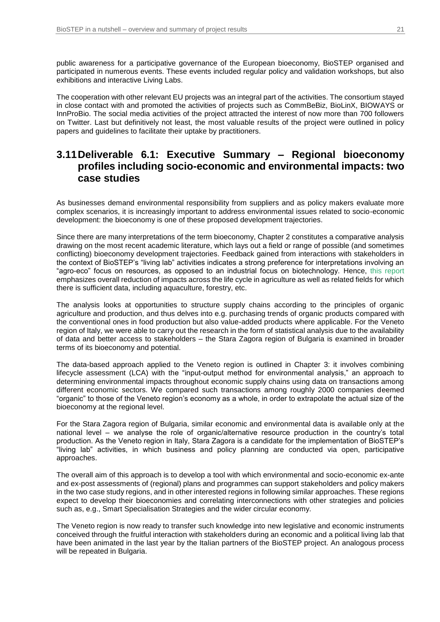public awareness for a participative governance of the European bioeconomy, BioSTEP organised and participated in numerous events. These events included regular policy and validation workshops, but also exhibitions and interactive Living Labs.

The cooperation with other relevant EU projects was an integral part of the activities. The consortium stayed in close contact with and promoted the activities of projects such as CommBeBiz, BioLinX, BIOWAYS or InnProBio. The social media activities of the project attracted the interest of now more than 700 followers on Twitter. Last but definitively not least, the most valuable results of the project were outlined in policy papers and guidelines to facilitate their uptake by practitioners.

#### **3.11Deliverable 6.1: Executive Summary – Regional bioeconomy profiles including socio-economic and environmental impacts: two case studies**

As businesses demand environmental responsibility from suppliers and as policy makers evaluate more complex scenarios, it is increasingly important to address environmental issues related to socio-economic development: the bioeconomy is one of these proposed development trajectories.

Since there are many interpretations of the term bioeconomy, Chapter 2 constitutes a comparative analysis drawing on the most recent academic literature, which lays out a field or range of possible (and sometimes conflicting) bioeconomy development trajectories. Feedback gained from interactions with stakeholders in the context of BioSTEP's "living lab" activities indicates a strong preference for interpretations involving an "agro-eco" focus on resources, as opposed to an industrial focus on biotechnology. Hence, [this report](https://www.bio-step.eu/fileadmin/BioSTEP/Bio_documents/BioSTEP_D6.1_Regional_bioeconomy_profiles.pdf) emphasizes overall reduction of impacts across the life cycle in agriculture as well as related fields for which there is sufficient data, including aquaculture, forestry, etc.

The analysis looks at opportunities to structure supply chains according to the principles of organic agriculture and production, and thus delves into e.g. purchasing trends of organic products compared with the conventional ones in food production but also value-added products where applicable. For the Veneto region of Italy, we were able to carry out the research in the form of statistical analysis due to the availability of data and better access to stakeholders – the Stara Zagora region of Bulgaria is examined in broader terms of its bioeconomy and potential.

The data-based approach applied to the Veneto region is outlined in Chapter 3: it involves combining lifecycle assessment (LCA) with the "input-output method for environmental analysis," an approach to determining environmental impacts throughout economic supply chains using data on transactions among different economic sectors. We compared such transactions among roughly 2000 companies deemed "organic" to those of the Veneto region's economy as a whole, in order to extrapolate the actual size of the bioeconomy at the regional level.

For the Stara Zagora region of Bulgaria, similar economic and environmental data is available only at the national level – we analyse the role of organic/alternative resource production in the country's total production. As the Veneto region in Italy, Stara Zagora is a candidate for the implementation of BioSTEP's "living lab" activities, in which business and policy planning are conducted via open, participative approaches.

The overall aim of this approach is to develop a tool with which environmental and socio-economic ex-ante and ex-post assessments of (regional) plans and programmes can support stakeholders and policy makers in the two case study regions, and in other interested regions in following similar approaches. These regions expect to develop their bioeconomies and correlating interconnections with other strategies and policies such as, e.g., Smart Specialisation Strategies and the wider circular economy.

The Veneto region is now ready to transfer such knowledge into new legislative and economic instruments conceived through the fruitful interaction with stakeholders during an economic and a political living lab that have been animated in the last year by the Italian partners of the BioSTEP project. An analogous process will be repeated in Bulgaria.